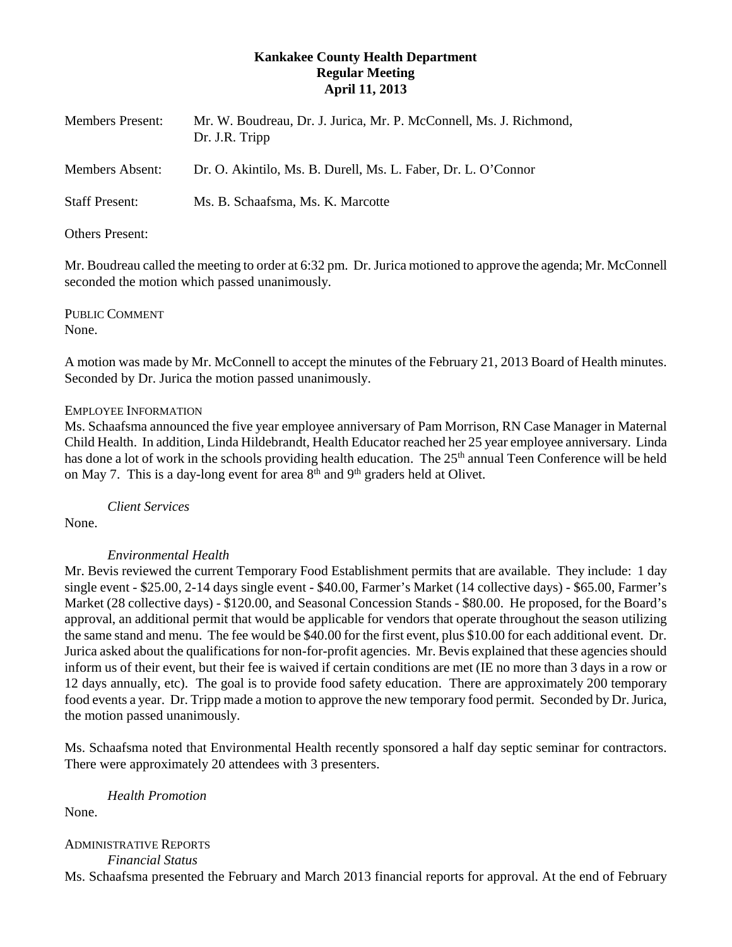# **Kankakee County Health Department Regular Meeting April 11, 2013**

| Members Present:       | Mr. W. Boudreau, Dr. J. Jurica, Mr. P. McConnell, Ms. J. Richmond,<br>Dr. J.R. Tripp |
|------------------------|--------------------------------------------------------------------------------------|
| <b>Members Absent:</b> | Dr. O. Akintilo, Ms. B. Durell, Ms. L. Faber, Dr. L. O'Connor                        |
| <b>Staff Present:</b>  | Ms. B. Schaafsma, Ms. K. Marcotte                                                    |
|                        |                                                                                      |

Others Present:

Mr. Boudreau called the meeting to order at 6:32 pm. Dr. Jurica motioned to approve the agenda; Mr. McConnell seconded the motion which passed unanimously.

PUBLIC COMMENT None.

A motion was made by Mr. McConnell to accept the minutes of the February 21, 2013 Board of Health minutes. Seconded by Dr. Jurica the motion passed unanimously.

## EMPLOYEE INFORMATION

Ms. Schaafsma announced the five year employee anniversary of Pam Morrison, RN Case Manager in Maternal Child Health. In addition, Linda Hildebrandt, Health Educator reached her 25 year employee anniversary. Linda has done a lot of work in the schools providing health education. The 25<sup>th</sup> annual Teen Conference will be held on May 7. This is a day-long event for area  $8<sup>th</sup>$  and  $9<sup>th</sup>$  graders held at Olivet.

*Client Services*

None.

## *Environmental Health*

Mr. Bevis reviewed the current Temporary Food Establishment permits that are available. They include: 1 day single event - \$25.00, 2-14 days single event - \$40.00, Farmer's Market (14 collective days) - \$65.00, Farmer's Market (28 collective days) - \$120.00, and Seasonal Concession Stands - \$80.00. He proposed, for the Board's approval, an additional permit that would be applicable for vendors that operate throughout the season utilizing the same stand and menu. The fee would be \$40.00 for the first event, plus \$10.00 for each additional event. Dr. Jurica asked about the qualifications for non-for-profit agencies. Mr. Bevis explained that these agencies should inform us of their event, but their fee is waived if certain conditions are met (IE no more than 3 days in a row or 12 days annually, etc). The goal is to provide food safety education. There are approximately 200 temporary food events a year. Dr. Tripp made a motion to approve the new temporary food permit. Seconded by Dr. Jurica, the motion passed unanimously.

Ms. Schaafsma noted that Environmental Health recently sponsored a half day septic seminar for contractors. There were approximately 20 attendees with 3 presenters.

*Health Promotion*

None.

ADMINISTRATIVE REPORTS *Financial Status*

Ms. Schaafsma presented the February and March 2013 financial reports for approval. At the end of February